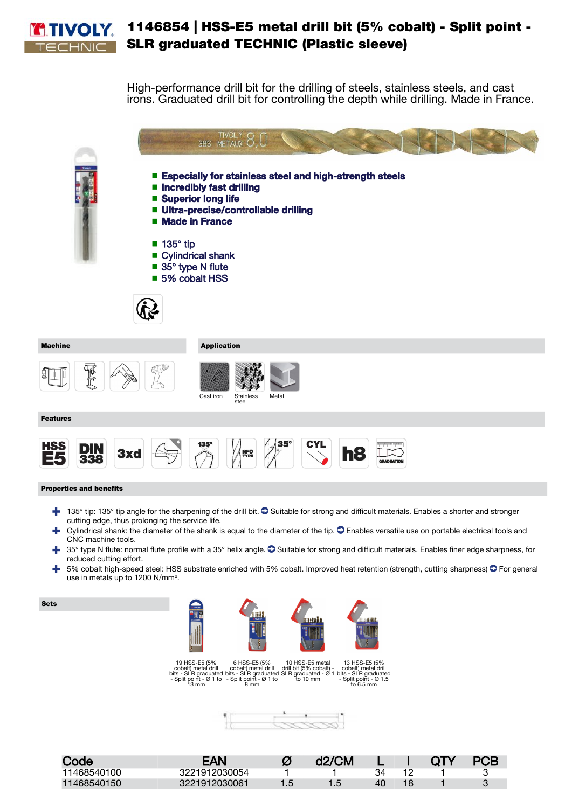

## 1146854 | HSS-E5 metal drill bit (5% cobalt) - Split point - SLR graduated TECHNIC (Plastic sleeve)

High-performance drill bit for the drilling of steels, stainless steels, and cast irons. Graduated drill bit for controlling the depth while drilling. Made in France.



Features

Ú ldo



Cast iron Stainless Staink

## Properties and benefits

 $\blacktriangleleft$  135° tip: 135° tip angle for the sharpening of the drill bit.  $\heartsuit$  Suitable for strong and difficult materials. Enables a shorter and stronger cutting edge, thus prolonging the service life.

Metal

- Cylindrical shank: the diameter of the shank is equal to the diameter of the tip.  $\bullet$  Enables versatile use on portable electrical tools and CNC machine tools.
- 35° type N flute: normal flute profile with a 35° helix angle.  $\bullet$  Suitable for strong and difficult materials. Enables finer edge sharpness, for ÷ reduced cutting effort.
- ÷ 5% cobalt high-speed steel: HSS substrate enriched with 5% cobalt. Improved heat retention (strength, cutting sharpness)  $\bullet$  For general use in metals up to 1200 N/mm².

Sets



| Code        | <b>EAN</b>    | Ø   | d2/CM         |    | $\overline{Q}$ | <b>PCB</b> |
|-------------|---------------|-----|---------------|----|----------------|------------|
| 11468540100 | 3221912030054 |     |               |    |                |            |
| 11468540150 | 3221912030061 | 1.5 | $1.5^{\circ}$ | 40 |                |            |